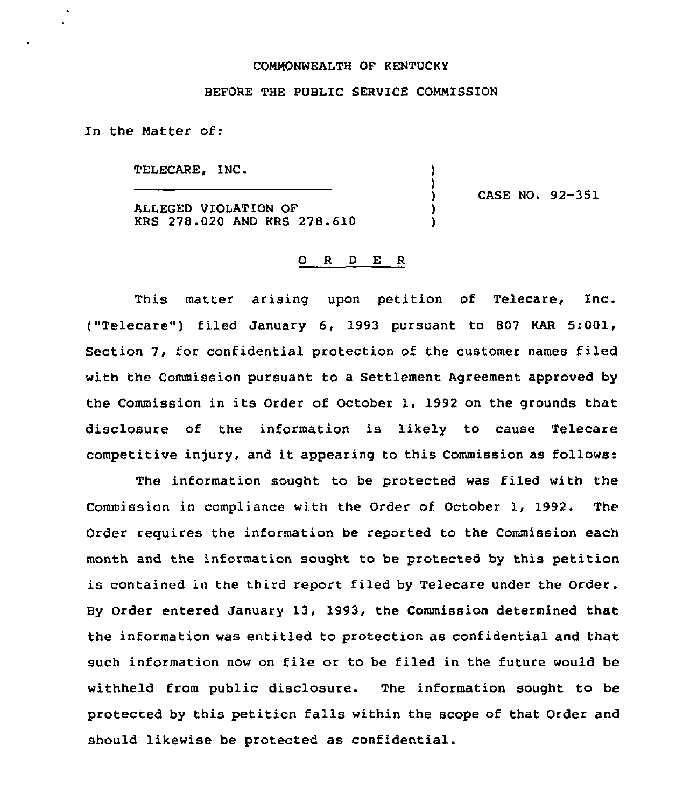## CONNONNEALTH OF KENTUCKY

## BEFORE THE PUBLIC SERVICE COMMISSION

) )<br>)

> ) )

In the Natter of:

TELECARE, INC.

ALLEGED VIOLATION OF KRS 278.020 AND KRS 278.610 ) CASE NO. 92-351

## 0 R <sup>D</sup> E <sup>R</sup>

This matter arising upon petition of Telecare, Inc.  $($ "Telecare") filed January 6, 1993 pursuant to 807 KAR 5:001, Section 7, for confidential protection of the customer names filed with the Commission pursuant to a Settlement Agreement approved by the Commission in its Order of October 1, 1992 on the grounds that disclosure of the information is likely to cause Telecare competitive injury, and it appearing to this Commission as follows:

The information sought to be protected was filed with the Commission in compliance with the Order of October 1, 1992. The Order requires the information be reported to the Commission each month and the information sought. to be protected by this petition is contained in the third report filed by Telecare under the Order. By Order entered January 13, 1993, the Commission determined that the information was entitled to protection as confidential and that such information now on file or to be filed in the future would be withheld from public disclosure. The information sought to be protected by this petition falls within the scope of that Order and should likewise be protected as confidential.